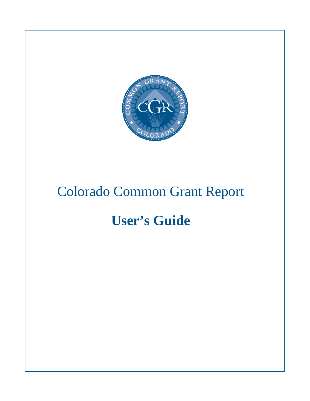

# Colorado Common Grant Report

# **User's Guide**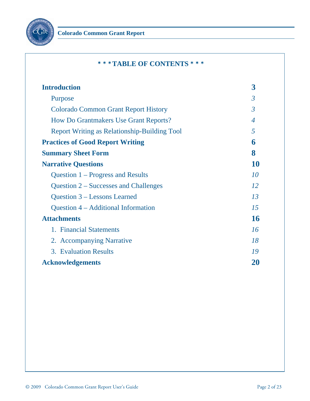

# <sup>¾</sup><sup>¾</sup><sup>¾</sup> **TABLE OF CONTENTS** <sup>¾</sup><sup>¾</sup><sup>¾</sup>

| <b>Introduction</b>                                 | $\overline{\mathbf{3}}$ |
|-----------------------------------------------------|-------------------------|
| Purpose                                             | $\mathfrak{Z}$          |
| <b>Colorado Common Grant Report History</b>         | $\overline{3}$          |
| <b>How Do Grantmakers Use Grant Reports?</b>        | $\overline{4}$          |
| <b>Report Writing as Relationship-Building Tool</b> | 5                       |
| <b>Practices of Good Report Writing</b>             | 6                       |
| <b>Summary Sheet Form</b>                           | 8                       |
| <b>Narrative Questions</b>                          | 10                      |
| Question 1 – Progress and Results                   | 10                      |
| Question 2 – Successes and Challenges               | 12                      |
| Question 3 – Lessons Learned                        | 13                      |
| Question 4 – Additional Information                 | 15                      |
| <b>Attachments</b>                                  | 16                      |
| 1. Financial Statements                             | 16                      |
| 2. Accompanying Narrative                           | 18                      |
| 3. Evaluation Results                               | 19                      |
| <b>Acknowledgements</b>                             | 20                      |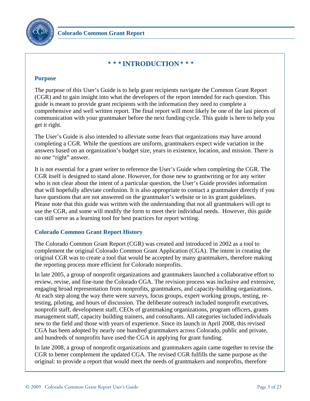

# <sup>¾</sup><sup>¾</sup><sup>¾</sup> **INTRODUCTION** <sup>¾</sup><sup>¾</sup><sup>¾</sup>

#### **Purpose**

The purpose of this User's Guide is to help grant recipients navigate the Common Grant Report (CGR) and to gain insight into what the developers of the report intended for each question. This guide is meant to provide grant recipients with the information they need to complete a comprehensive and well written report. The final report will most likely be one of the last pieces of communication with your grantmaker before the next funding cycle. This guide is here to help you get it right.

The User's Guide is also intended to alleviate some fears that organizations may have around completing a CGR. While the questions are uniform, grantmakers expect wide variation in the answers based on an organization's budget size, years in existence, location, and mission. There is no one "right" answer.

It is not essential for a grant writer to reference the User's Guide when completing the CGR. The CGR itself is designed to stand alone. However, for those new to grantwriting or for any writer who is not clear about the intent of a particular question, the User's Guide provides information that will hopefully alleviate confusion. It is also appropriate to contact a grantmaker directly if you have questions that are not answered on the grantmaker's website or in its grant guidelines. Please note that this guide was written with the understanding that not all grantmakers will opt to use the CGR, and some will modify the form to meet their individual needs. However, this guide can still serve as a learning tool for best practices for report writing.

## **Colorado Common Grant Report History**

The Colorado Common Grant Report (CGR) was created and introduced in 2002 as a tool to complement the original Colorado Common Grant Application (CGA). The intent in creating the original CGR was to create a tool that would be accepted by many grantmakers, therefore making the reporting process more efficient for Colorado nonprofits.

In late 2005, a group of nonprofit organizations and grantmakers launched a collaborative effort to review, revise, and fine-tune the Colorado CGA. The revision process was inclusive and extensive, engaging broad representation from nonprofits, grantmakers, and capacity-building organizations. At each step along the way there were surveys, focus groups, expert working groups, testing, retesting, piloting, and hours of discussion. The deliberate outreach included nonprofit executives, nonprofit staff, development staff, CEOs of grantmaking organizations, program officers, grants management staff, capacity building trainers, and consultants. All categories included individuals new to the field and those with years of experience. Since its launch in April 2008, this revised CGA has been adopted by nearly one hundred grantmakers across Colorado, public and private, and hundreds of nonprofits have used the CGA in applying for grant funding.

In late 2008, a group of nonprofit organizations and grantmakers again came together to revise the CGR to better complement the updated CGA. The revised CGR fulfills the same purpose as the original: to provide a report that would meet the needs of grantmakers and nonprofits, therefore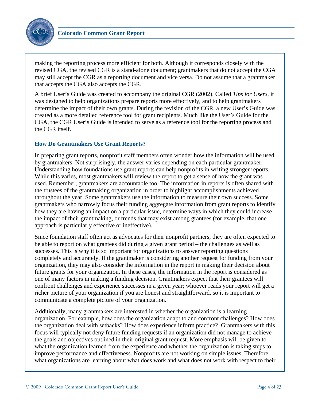

making the reporting process more efficient for both. Although it corresponds closely with the revised CGA, the revised CGR is a stand-alone document; grantmakers that do not accept the CGA may still accept the CGR as a reporting document and vice versa. Do not assume that a grantmaker that accepts the CGA also accepts the CGR.

A brief User's Guide was created to accompany the original CGR (2002). Called *Tips for Users*, it was designed to help organizations prepare reports more effectively, and to help grantmakers determine the impact of their own grants. During the revision of the CGR, a new User's Guide was created as a more detailed reference tool for grant recipients. Much like the User's Guide for the CGA, the CGR User's Guide is intended to serve as a reference tool for the reporting process and the CGR itself.

## **How Do Grantmakers Use Grant Reports?**

In preparing grant reports, nonprofit staff members often wonder how the information will be used by grantmakers. Not surprisingly, the answer varies depending on each particular grantmaker. Understanding how foundations use grant reports can help nonprofits in writing stronger reports. While this varies, most grantmakers will review the report to get a sense of how the grant was used. Remember, grantmakers are accountable too. The information in reports is often shared with the trustees of the grantmaking organization in order to highlight accomplishments achieved throughout the year. Some grantmakers use the information to measure their own success. Some grantmakers who narrowly focus their funding aggregate information from grant reports to identify how they are having an impact on a particular issue, determine ways in which they could increase the impact of their grantmaking, or trends that may exist among grantees (for example, that one approach is particularly effective or ineffective).

Since foundation staff often act as advocates for their nonprofit partners, they are often expected to be able to report on what grantees did during a given grant period – the challenges as well as successes. This is why it is so important for organizations to answer reporting questions completely and accurately. If the grantmaker is considering another request for funding from your organization, they may also consider the information in the report in making their decision about future grants for your organization. In these cases, the information in the report is considered as one of many factors in making a funding decision. Grantmakers expect that their grantees will confront challenges and experience successes in a given year; whoever reads your report will get a richer picture of your organization if you are honest and straightforward, so it is important to communicate a complete picture of your organization.

Additionally, many grantmakers are interested in whether the organization is a learning organization. For example, how does the organization adapt to and confront challenges? How does the organization deal with setbacks? How does experience inform practice? Grantmakers with this focus will typically not deny future funding requests if an organization did not manage to achieve the goals and objectives outlined in their original grant request. More emphasis will be given to what the organization learned from the experience and whether the organization is taking steps to improve performance and effectiveness. Nonprofits are not working on simple issues. Therefore, what organizations are learning about what does work and what does not work with respect to their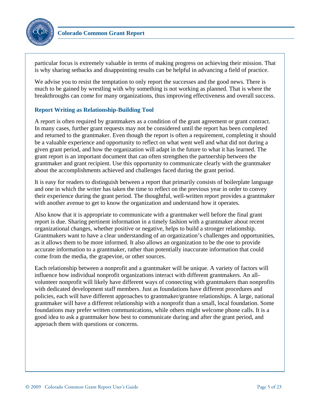

particular focus is extremely valuable in terms of making progress on achieving their mission. That is why sharing setbacks and disappointing results can be helpful in advancing a field of practice.

We advise you to resist the temptation to only report the successes and the good news. There is much to be gained by wrestling with why something is not working as planned. That is where the breakthroughs can come for many organizations, thus improving effectiveness and overall success.

## **Report Writing as Relationship-Building Tool**

A report is often required by grantmakers as a condition of the grant agreement or grant contract. In many cases, further grant requests may not be considered until the report has been completed and returned to the grantmaker. Even though the report is often a requirement, completing it should be a valuable experience and opportunity to reflect on what went well and what did not during a given grant period, and how the organization will adapt in the future to what it has learned. The grant report is an important document that can often strengthen the partnership between the grantmaker and grant recipient. Use this opportunity to communicate clearly with the grantmaker about the accomplishments achieved and challenges faced during the grant period.

It is easy for readers to distinguish between a report that primarily consists of boilerplate language and one in which the writer has taken the time to reflect on the previous year in order to convey their experience during the grant period. The thoughtful, well-written report provides a grantmaker with another avenue to get to know the organization and understand how it operates.

Also know that it is appropriate to communicate with a grantmaker well before the final grant report is due. Sharing pertinent information in a timely fashion with a grantmaker about recent organizational changes, whether positive or negative, helps to build a stronger relationship. Grantmakers want to have a clear understanding of an organization's challenges and opportunities, as it allows them to be more informed. It also allows an organization to be the one to provide accurate information to a grantmaker, rather than potentially inaccurate information that could come from the media, the grapevine, or other sources.

Each relationship between a nonprofit and a grantmaker will be unique. A variety of factors will influence how individual nonprofit organizations interact with different grantmakers. An allvolunteer nonprofit will likely have different ways of connecting with grantmakers than nonprofits with dedicated development staff members. Just as foundations have different procedures and policies, each will have different approaches to grantmaker/grantee relationships. A large, national grantmaker will have a different relationship with a nonprofit than a small, local foundation. Some foundations may prefer written communications, while others might welcome phone calls. It is a good idea to ask a grantmaker how best to communicate during and after the grant period, and approach them with questions or concerns.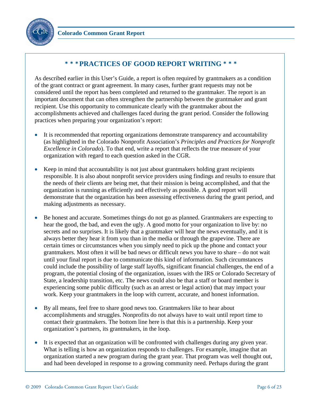



# <sup>¾</sup><sup>¾</sup><sup>¾</sup> **PRACTICES OF GOOD REPORT WRITING** <sup>¾</sup><sup>¾</sup><sup>¾</sup>

As described earlier in this User's Guide, a report is often required by grantmakers as a condition of the grant contract or grant agreement. In many cases, further grant requests may not be considered until the report has been completed and returned to the grantmaker. The report is an important document that can often strengthen the partnership between the grantmaker and grant recipient. Use this opportunity to communicate clearly with the grantmaker about the accomplishments achieved and challenges faced during the grant period. Consider the following practices when preparing your organization's report:

- It is recommended that reporting organizations demonstrate transparency and accountability (as highlighted in the Colorado Nonprofit Association's *Principles and Practices for Nonprofit Excellence in Colorado*). To that end, write a report that reflects the true measure of your organization with regard to each question asked in the CGR.
- Keep in mind that accountability is not just about grantmakers holding grant recipients responsible. It is also about nonprofit service providers using findings and results to ensure that the needs of their clients are being met, that their mission is being accomplished, and that the organization is running as efficiently and effectively as possible. A good report will demonstrate that the organization has been assessing effectiveness during the grant period, and making adjustments as necessary.
- Be honest and accurate. Sometimes things do not go as planned. Grantmakers are expecting to hear the good, the bad, and even the ugly. A good motto for your organization to live by: no secrets and no surprises. It is likely that a grantmaker will hear the news eventually, and it is always better they hear it from you than in the media or through the grapevine. There are certain times or circumstances when you simply need to pick up the phone and contact your grantmakers. Most often it will be bad news or difficult news you have to share – do not wait until your final report is due to communicate this kind of information. Such circumstances could include the possibility of large staff layoffs, significant financial challenges, the end of a program, the potential closing of the organization, issues with the IRS or Colorado Secretary of State, a leadership transition, etc. The news could also be that a staff or board member is experiencing some public difficulty (such as an arrest or legal action) that may impact your work. Keep your grantmakers in the loop with current, accurate, and honest information.
- By all means, feel free to share good news too. Grantmakers like to hear about accomplishments and struggles. Nonprofits do not always have to wait until report time to contact their grantmakers. The bottom line here is that this is a partnership. Keep your organization's partners, its grantmakers, in the loop.
- It is expected that an organization will be confronted with challenges during any given year. What is telling is how an organization responds to challenges. For example, imagine that an organization started a new program during the grant year. That program was well thought out, and had been developed in response to a growing community need. Perhaps during the grant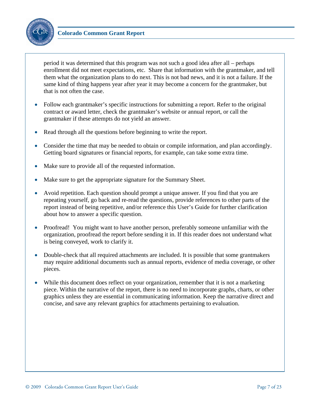

period it was determined that this program was not such a good idea after all – perhaps enrollment did not meet expectations, etc. Share that information with the grantmaker, and tell them what the organization plans to do next. This is not bad news, and it is not a failure. If the same kind of thing happens year after year it may become a concern for the grantmaker, but that is not often the case.

- Follow each grantmaker's specific instructions for submitting a report. Refer to the original contract or award letter, check the grantmaker's website or annual report, or call the grantmaker if these attempts do not yield an answer.
- Read through all the questions before beginning to write the report.
- Consider the time that may be needed to obtain or compile information, and plan accordingly. Getting board signatures or financial reports, for example, can take some extra time.
- Make sure to provide all of the requested information.
- Make sure to get the appropriate signature for the Summary Sheet.
- Avoid repetition. Each question should prompt a unique answer. If you find that you are repeating yourself, go back and re-read the questions, provide references to other parts of the report instead of being repetitive, and/or reference this User's Guide for further clarification about how to answer a specific question.
- Proofread! You might want to have another person, preferably someone unfamiliar with the organization, proofread the report before sending it in. If this reader does not understand what is being conveyed, work to clarify it.
- Double-check that all required attachments are included. It is possible that some grantmakers may require additional documents such as annual reports, evidence of media coverage, or other pieces.
- While this document does reflect on your organization, remember that it is not a marketing piece. Within the narrative of the report, there is no need to incorporate graphs, charts, or other graphics unless they are essential in communicating information. Keep the narrative direct and concise, and save any relevant graphics for attachments pertaining to evaluation.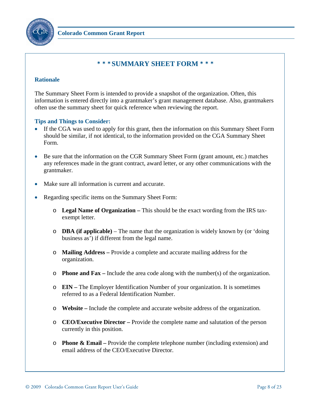

# <sup>¾</sup><sup>¾</sup><sup>¾</sup> **SUMMARY SHEET FORM** <sup>¾</sup><sup>¾</sup><sup>¾</sup>

#### **Rationale**

The Summary Sheet Form is intended to provide a snapshot of the organization. Often, this information is entered directly into a grantmaker's grant management database. Also, grantmakers often use the summary sheet for quick reference when reviewing the report.

- If the CGA was used to apply for this grant, then the information on this Summary Sheet Form should be similar, if not identical, to the information provided on the CGA Summary Sheet Form.
- Be sure that the information on the CGR Summary Sheet Form (grant amount, etc.) matches any references made in the grant contract, award letter, or any other communications with the grantmaker.
- Make sure all information is current and accurate.
- Regarding specific items on the Summary Sheet Form:
	- o **Legal Name of Organization** This should be the exact wording from the IRS taxexempt letter.
	- o **DBA (if applicable)** The name that the organization is widely known by (or 'doing business as') if different from the legal name.
	- o **Mailing Address –** Provide a complete and accurate mailing address for the organization.
	- o **Phone and Fax** Include the area code along with the number(s) of the organization.
	- o **EIN –** The Employer Identification Number of your organization. It is sometimes referred to as a Federal Identification Number.
	- o **Website –** Include the complete and accurate website address of the organization.
	- o **CEO/Executive Director –** Provide the complete name and salutation of the person currently in this position.
	- o **Phone & Email –** Provide the complete telephone number (including extension) and email address of the CEO/Executive Director.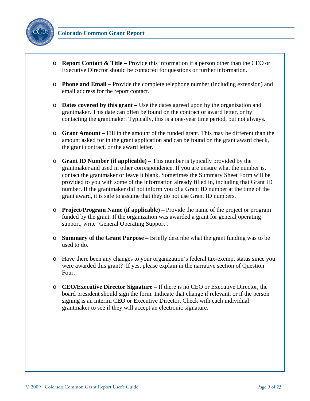

- o **Report Contact & Title –** Provide this information if a person other than the CEO or Executive Director should be contacted for questions or further information.
- o **Phone and Email –** Provide the complete telephone number (including extension) and email address for the report contact.
- o **Dates covered by this grant –** Use the dates agreed upon by the organization and grantmaker. This date can often be found on the contract or award letter, or by contacting the grantmaker. Typically, this is a one-year time period, but not always.
- o **Grant Amount** Fill in the amount of the funded grant. This may be different than the amount asked for in the grant application and can be found on the grant award check, the grant contract, or the award letter.
- o **Grant ID Number (if applicable) –** This number is typically provided by the grantmaker and used in other correspondence. If you are unsure what the number is, contact the grantmaker or leave it blank. Sometimes the Summary Sheet Form will be provided to you with some of the information already filled in, including that Grant ID number. If the grantmaker did not inform you of a Grant ID number at the time of the grant award, it is safe to assume that they do not use Grant ID numbers.
- o **Project/Program Name (if applicable) –** Provide the name of the project or program funded by the grant. If the organization was awarded a grant for general operating support, write 'General Operating Support'.
- o **Summary of the Grant Purpose –** Briefly describe what the grant funding was to be used to do.
- o Have there been any changes to your organization's federal tax-exempt status since you were awarded this grant? If yes, please explain in the narrative section of Question Four.
- o **CEO/Executive Director Signature –** If there is no CEO or Executive Director, the board president should sign the form. Indicate that change if relevant, or if the person signing is an interim CEO or Executive Director. Check with each individual grantmaker to see if they will accept an electronic signature.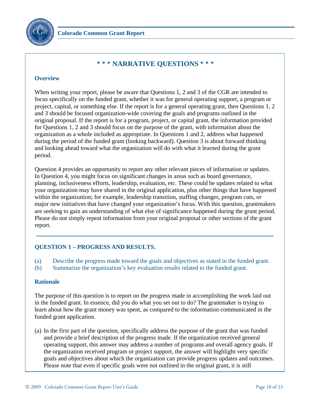

# <sup>¾</sup><sup>¾</sup><sup>¾</sup> **NARRATIVE QUESTIONS** <sup>¾</sup><sup>¾</sup><sup>¾</sup>

#### **Overview**

When writing your report, please be aware that Questions 1, 2 and 3 of the CGR are intended to focus specifically on the funded grant, whether it was for general operating support, a program or project, capital, or something else. If the report is for a general operating grant, then Questions 1, 2 and 3 should be focused organization-wide covering the goals and programs outlined in the original proposal. If the report is for a program, project, or capital grant, the information provided for Questions 1, 2 and 3 should focus on the purpose of the grant, with information about the organization as a whole included as appropriate. In Questions 1 and 2, address what happened during the period of the funded grant (looking backward). Question 3 is about forward thinking and looking ahead toward what the organization will do with what it learned during the grant period.

Question 4 provides an opportunity to report any other relevant pieces of information or updates. In Question 4, you might focus on significant changes in areas such as board governance, planning, inclusiveness efforts, leadership, evaluation, etc. These could be updates related to what your organization may have shared in the original application, plus other things that have happened within the organization; for example, leadership transition, staffing changes, program cuts, or major new initiatives that have changed your organization's focus. With this question, grantmakers are seeking to gain an understanding of what else of significance happened during the grant period. Please do not simply repeat information from your original proposal or other sections of the grant report.

# **QUESTION 1 – PROGRESS AND RESULTS.**

- (a) Describe the progress made toward the goals and objectives as stated in the funded grant.
- (b) Summarize the organization's key evaluation results related to the funded grant.

## **Rationale**

The purpose of this question is to report on the progress made in accomplishing the work laid out in the funded grant. In essence, did you do what you set out to do? The grantmaker is trying to learn about how the grant money was spent, as compared to the information communicated in the funded grant application.

(a) In the first part of the question, specifically address the purpose of the grant that was funded and provide a brief description of the progress made. If the organization received general operating support, this answer may address a number of programs and overall agency goals. If the organization received program or project support, the answer will highlight very specific goals and objectives about which the organization can provide progress updates and outcomes. Please note that even if specific goals were not outlined in the original grant, it is still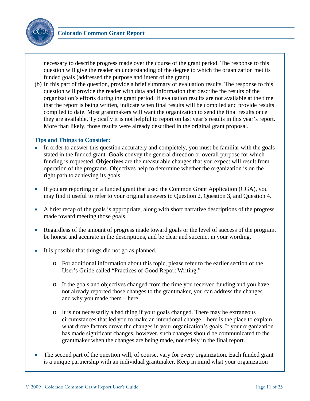

necessary to describe progress made over the course of the grant period. The response to this question will give the reader an understanding of the degree to which the organization met its funded goals (addressed the purpose and intent of the grant).

(b) In this part of the question, provide a brief summary of evaluation results. The response to this question will provide the reader with data and information that describe the results of the organization's efforts during the grant period. If evaluation results are not available at the time that the report is being written, indicate when final results will be compiled and provide results compiled to date. Most grantmakers will want the organization to send the final results once they are available. Typically it is not helpful to report on last year's results in this year's report. More than likely, those results were already described in the original grant proposal.

- In order to answer this question accurately and completely, you must be familiar with the goals stated in the funded grant. **Goals** convey the general direction or overall purpose for which funding is requested. **Objectives** are the measurable changes that you expect will result from operation of the programs. Objectives help to determine whether the organization is on the right path to achieving its goals.
- If you are reporting on a funded grant that used the Common Grant Application (CGA), you may find it useful to refer to your original answers to Question 2, Question 3, and Question 4.
- A brief recap of the goals is appropriate, along with short narrative descriptions of the progress made toward meeting those goals.
- Regardless of the amount of progress made toward goals or the level of success of the program, be honest and accurate in the descriptions, and be clear and succinct in your wording.
- It is possible that things did not go as planned.
	- o For additional information about this topic, please refer to the earlier section of the User's Guide called "Practices of Good Report Writing."
	- o If the goals and objectives changed from the time you received funding and you have not already reported those changes to the grantmaker, you can address the changes – and why you made them – here.
	- o It is not necessarily a bad thing if your goals changed. There may be extraneous circumstances that led you to make an intentional change – here is the place to explain what drove factors drove the changes in your organization's goals. If your organization has made significant changes, however, such changes should be communicated to the grantmaker when the changes are being made, not solely in the final report.
- The second part of the question will, of course, vary for every organization. Each funded grant is a unique partnership with an individual grantmaker. Keep in mind what your organization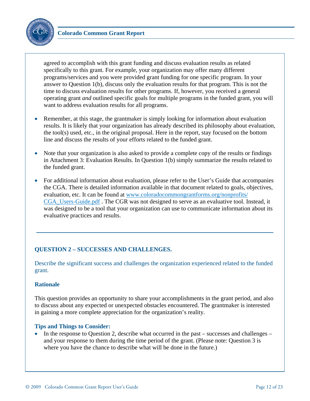

agreed to accomplish with this grant funding and discuss evaluation results as related specifically to this grant. For example, your organization may offer many different programs/services and you were provided grant funding for one specific program. In your answer to Question 1(b), discuss only the evaluation results for that program. This is not the time to discuss evaluation results for other programs. If, however, you received a general operating grant *and* outlined specific goals for multiple programs in the funded grant, you will want to address evaluation results for all programs.

- Remember, at this stage, the grantmaker is simply looking for information about evaluation results. It is likely that your organization has already described its philosophy about evaluation, the tool(s) used, etc., in the original proposal. Here in the report, stay focused on the bottom line and discuss the results of your efforts related to the funded grant.
- Note that your organization is also asked to provide a complete copy of the results or findings in Attachment 3: Evaluation Results. In Question 1(b) simply summarize the results related to the funded grant.
- For additional information about evaluation, please refer to the User's Guide that accompanies the CGA. There is detailed information available in that document related to goals, objectives, evaluation, etc. It can be found at www.coloradocommongrantforms.org/nonprofits/ CGA\_Users-Guide.pdf . The CGR was not designed to serve as an evaluative tool. Instead, it was designed to be a tool that your organization can use to communicate information about its evaluative practices and results.

# **QUESTION 2 – SUCCESSES AND CHALLENGES.**

Describe the significant success and challenges the organization experienced related to the funded grant.

## **Rationale**

This question provides an opportunity to share your accomplishments in the grant period, and also to discuss about any expected or unexpected obstacles encountered. The grantmaker is interested in gaining a more complete appreciation for the organization's reality.

## **Tips and Things to Consider:**

• In the response to Question 2, describe what occurred in the past – successes and challenges – and your response to them during the time period of the grant. (Please note: Question 3 is where you have the chance to describe what will be done in the future.)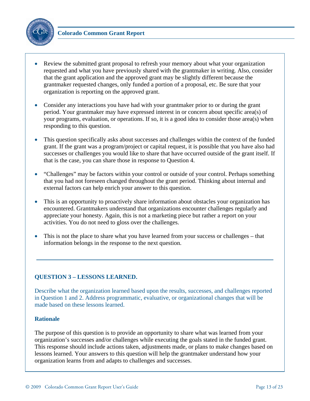

- Review the submitted grant proposal to refresh your memory about what your organization requested and what you have previously shared with the grantmaker in writing. Also, consider that the grant application and the approved grant may be slightly different because the grantmaker requested changes, only funded a portion of a proposal, etc. Be sure that your organization is reporting on the approved grant.
- Consider any interactions you have had with your grantmaker prior to or during the grant period. Your grantmaker may have expressed interest in or concern about specific area(s) of your programs, evaluation, or operations. If so, it is a good idea to consider those area(s) when responding to this question.
- This question specifically asks about successes and challenges within the context of the funded grant. If the grant was a program/project or capital request, it is possible that you have also had successes or challenges you would like to share that have occurred outside of the grant itself. If that is the case, you can share those in response to Question 4.
- "Challenges" may be factors within your control or outside of your control. Perhaps something that you had not foreseen changed throughout the grant period. Thinking about internal and external factors can help enrich your answer to this question.
- This is an opportunity to proactively share information about obstacles your organization has encountered. Grantmakers understand that organizations encounter challenges regularly and appreciate your honesty. Again, this is not a marketing piece but rather a report on your activities. You do not need to gloss over the challenges.
- This is not the place to share what you have learned from your success or challenges that information belongs in the response to the next question.

## **QUESTION 3 – LESSONS LEARNED.**

Describe what the organization learned based upon the results, successes, and challenges reported in Question 1 and 2. Address programmatic, evaluative, or organizational changes that will be made based on these lessons learned.

#### **Rationale**

The purpose of this question is to provide an opportunity to share what was learned from your organization's successes and/or challenges while executing the goals stated in the funded grant. This response should include actions taken, adjustments made, or plans to make changes based on lessons learned. Your answers to this question will help the grantmaker understand how your organization learns from and adapts to challenges and successes.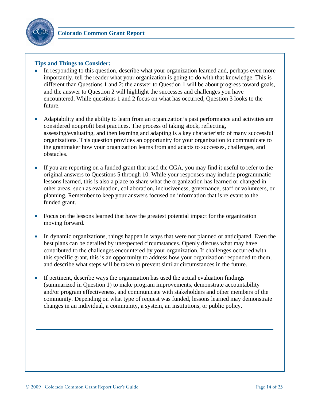

- In responding to this question, describe what your organization learned and, perhaps even more importantly, tell the reader what your organization is going to do with that knowledge. This is different than Questions 1 and 2: the answer to Question 1 will be about progress toward goals, and the answer to Question 2 will highlight the successes and challenges you have encountered. While questions 1 and 2 focus on what has occurred, Question 3 looks to the future.
- Adaptability and the ability to learn from an organization's past performance and activities are considered nonprofit best practices. The process of taking stock, reflecting, assessing/evaluating, and then learning and adapting is a key characteristic of many successful organizations. This question provides an opportunity for your organization to communicate to the grantmaker how your organization learns from and adapts to successes, challenges, and obstacles.
- If you are reporting on a funded grant that used the CGA, you may find it useful to refer to the original answers to Questions 5 through 10. While your responses may include programmatic lessons learned, this is also a place to share what the organization has learned or changed in other areas, such as evaluation, collaboration, inclusiveness, governance, staff or volunteers, or planning. Remember to keep your answers focused on information that is relevant to the funded grant.
- Focus on the lessons learned that have the greatest potential impact for the organization moving forward.
- In dynamic organizations, things happen in ways that were not planned or anticipated. Even the best plans can be derailed by unexpected circumstances. Openly discuss what may have contributed to the challenges encountered by your organization. If challenges occurred with this specific grant, this is an opportunity to address how your organization responded to them, and describe what steps will be taken to prevent similar circumstances in the future.
- If pertinent, describe ways the organization has used the actual evaluation findings (summarized in Question 1) to make program improvements, demonstrate accountability and/or program effectiveness, and communicate with stakeholders and other members of the community. Depending on what type of request was funded, lessons learned may demonstrate changes in an individual, a community, a system, an institutions, or public policy.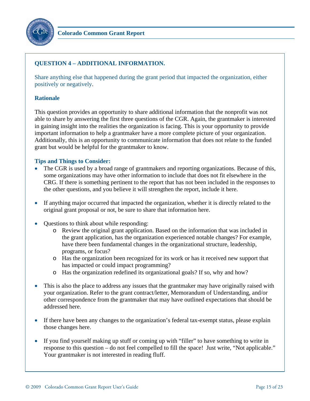

# **QUESTION 4 – ADDITIONAL INFORMATION.**

Share anything else that happened during the grant period that impacted the organization, either positively or negatively.

#### **Rationale**

This question provides an opportunity to share additional information that the nonprofit was not able to share by answering the first three questions of the CGR. Again, the grantmaker is interested in gaining insight into the realities the organization is facing. This is your opportunity to provide important information to help a grantmaker have a more complete picture of your organization. Additionally, this is an opportunity to communicate information that does not relate to the funded grant but would be helpful for the grantmaker to know.

- The CGR is used by a broad range of grantmakers and reporting organizations. Because of this, some organizations may have other information to include that does not fit elsewhere in the CRG. If there is something pertinent to the report that has not been included in the responses to the other questions, and you believe it will strengthen the report, include it here.
- If anything major occurred that impacted the organization, whether it is directly related to the original grant proposal or not, be sure to share that information here.
- Questions to think about while responding:
	- o Review the original grant application. Based on the information that was included in the grant application, has the organization experienced notable changes? For example, have there been fundamental changes in the organizational structure, leadership, programs, or focus?
	- o Has the organization been recognized for its work or has it received new support that has impacted or could impact programming?
	- o Has the organization redefined its organizational goals? If so, why and how?
- This is also the place to address any issues that the grantmaker may have originally raised with your organization. Refer to the grant contract/letter, Memorandum of Understanding, and/or other correspondence from the grantmaker that may have outlined expectations that should be addressed here.
- If there have been any changes to the organization's federal tax-exempt status, please explain those changes here.
- If you find yourself making up stuff or coming up with "filler" to have something to write in response to this question – do not feel compelled to fill the space! Just write, "Not applicable." Your grantmaker is not interested in reading fluff.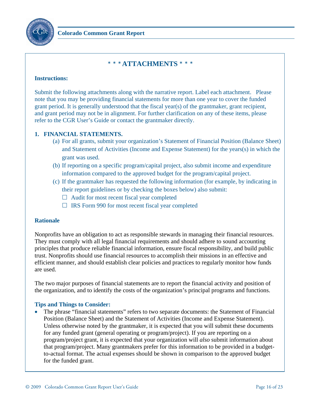

# <sup>¾</sup> <sup>¾</sup> <sup>¾</sup> **ATTACHMENTS** <sup>¾</sup> <sup>¾</sup> <sup>¾</sup>

#### **Instructions:**

Submit the following attachments along with the narrative report. Label each attachment. Please note that you may be providing financial statements for more than one year to cover the funded grant period. It is generally understood that the fiscal year(s) of the grantmaker, grant recipient, and grant period may not be in alignment. For further clarification on any of these items, please refer to the CGR User's Guide or contact the grantmaker directly.

# **1. FINANCIAL STATEMENTS.**

- (a) For all grants, submit your organization's Statement of Financial Position (Balance Sheet) and Statement of Activities (Income and Expense Statement) for the years(s) in which the grant was used.
- (b) If reporting on a specific program/capital project, also submit income and expenditure information compared to the approved budget for the program/capital project.
- (c) If the grantmaker has requested the following information (for example, by indicating in their report guidelines or by checking the boxes below) also submit:
	- $\Box$  Audit for most recent fiscal year completed
	- $\Box$  IRS Form 990 for most recent fiscal year completed

## **Rationale**

Nonprofits have an obligation to act as responsible stewards in managing their financial resources. They must comply with all legal financial requirements and should adhere to sound accounting principles that produce reliable financial information, ensure fiscal responsibility, and build public trust. Nonprofits should use financial resources to accomplish their missions in an effective and efficient manner, and should establish clear policies and practices to regularly monitor how funds are used.

The two major purposes of financial statements are to report the financial activity and position of the organization, and to identify the costs of the organization's principal programs and functions.

## **Tips and Things to Consider:**

• The phrase "financial statements" refers to two separate documents: the Statement of Financial Position (Balance Sheet) and the Statement of Activities (Income and Expense Statement). Unless otherwise noted by the grantmaker, it is expected that you will submit these documents for any funded grant (general operating or program/project). If you are reporting on a program/project grant, it is expected that your organization will *also* submit information about that program/project. Many grantmakers prefer for this information to be provided in a budgetto-actual format. The actual expenses should be shown in comparison to the approved budget for the funded grant.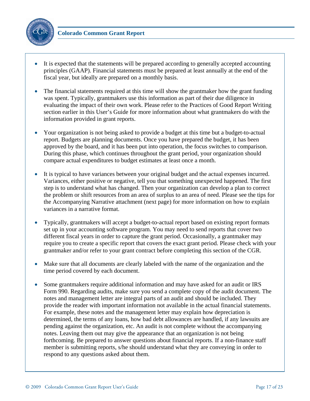

- It is expected that the statements will be prepared according to generally accepted accounting principles (GAAP). Financial statements must be prepared at least annually at the end of the fiscal year, but ideally are prepared on a monthly basis.
- The financial statements required at this time will show the grantmaker how the grant funding was spent. Typically, grantmakers use this information as part of their due diligence in evaluating the impact of their own work. Please refer to the Practices of Good Report Writing section earlier in this User's Guide for more information about what grantmakers do with the information provided in grant reports.
- Your organization is not being asked to provide a budget at this time but a budget-to-actual report. Budgets are planning documents. Once you have prepared the budget, it has been approved by the board, and it has been put into operation, the focus switches to comparison. During this phase, which continues throughout the grant period, your organization should compare actual expenditures to budget estimates at least once a month.
- It is typical to have variances between your original budget and the actual expenses incurred. Variances, either positive or negative, tell you that something unexpected happened. The first step is to understand what has changed. Then your organization can develop a plan to correct the problem or shift resources from an area of surplus to an area of need. Please see the tips for the Accompanying Narrative attachment (next page) for more information on how to explain variances in a narrative format.
- Typically, grantmakers will accept a budget-to-actual report based on existing report formats set up in your accounting software program. You may need to send reports that cover two different fiscal years in order to capture the grant period. Occasionally, a grantmaker may require you to create a specific report that covers the exact grant period. Please check with your grantmaker and/or refer to your grant contract before completing this section of the CGR.
- Make sure that all documents are clearly labeled with the name of the organization and the time period covered by each document.
- Some grantmakers require additional information and may have asked for an audit or IRS Form 990. Regarding audits, make sure you send a complete copy of the audit document. The notes and management letter are integral parts of an audit and should be included. They provide the reader with important information not available in the actual financial statements. For example, these notes and the management letter may explain how depreciation is determined, the terms of any loans, how bad debt allowances are handled, if any lawsuits are pending against the organization, etc. An audit is not complete without the accompanying notes. Leaving them out may give the appearance that an organization is not being forthcoming. Be prepared to answer questions about financial reports. If a non-finance staff member is submitting reports, s/he should understand what they are conveying in order to respond to any questions asked about them.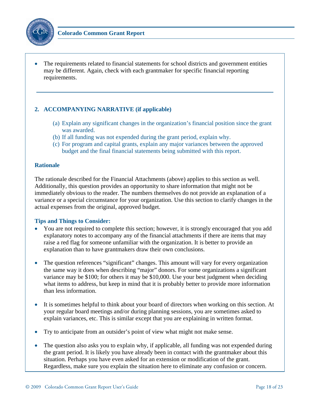

• The requirements related to financial statements for school districts and government entities may be different. Again, check with each grantmaker for specific financial reporting requirements.

# **2. ACCOMPANYING NARRATIVE (if applicable)**

- (a) Explain any significant changes in the organization's financial position since the grant was awarded.
- (b) If all funding was not expended during the grant period, explain why.
- (c) For program and capital grants, explain any major variances between the approved budget and the final financial statements being submitted with this report.

#### **Rationale**

The rationale described for the Financial Attachments (above) applies to this section as well. Additionally, this question provides an opportunity to share information that might not be immediately obvious to the reader. The numbers themselves do not provide an explanation of a variance or a special circumstance for your organization. Use this section to clarify changes in the actual expenses from the original, approved budget.

- You are not required to complete this section; however, it is strongly encouraged that you add explanatory notes to accompany any of the financial attachments if there are items that may raise a red flag for someone unfamiliar with the organization. It is better to provide an explanation than to have grantmakers draw their own conclusions.
- The question references "significant" changes. This amount will vary for every organization the same way it does when describing "major" donors. For some organizations a significant variance may be \$100; for others it may be \$10,000. Use your best judgment when deciding what items to address, but keep in mind that it is probably better to provide more information than less information.
- It is sometimes helpful to think about your board of directors when working on this section. At your regular board meetings and/or during planning sessions, you are sometimes asked to explain variances, etc. This is similar except that you are explaining in written format.
- Try to anticipate from an outsider's point of view what might not make sense.
- The question also asks you to explain why, if applicable, all funding was not expended during the grant period. It is likely you have already been in contact with the grantmaker about this situation. Perhaps you have even asked for an extension or modification of the grant. Regardless, make sure you explain the situation here to eliminate any confusion or concern.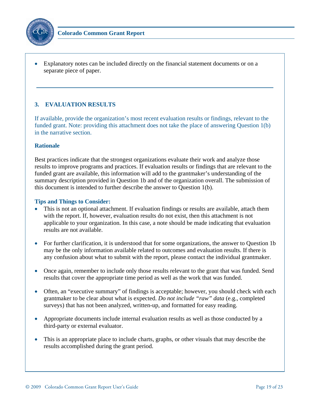

• Explanatory notes can be included directly on the financial statement documents or on a separate piece of paper.

# **3. EVALUATION RESULTS**

If available, provide the organization's most recent evaluation results or findings, relevant to the funded grant. Note: providing this attachment does not take the place of answering Question 1(b) in the narrative section.

#### **Rationale**

Best practices indicate that the strongest organizations evaluate their work and analyze those results to improve programs and practices. If evaluation results or findings that are relevant to the funded grant are available, this information will add to the grantmaker's understanding of the summary description provided in Question 1b and of the organization overall. The submission of this document is intended to further describe the answer to Question 1(b).

- This is not an optional attachment. If evaluation findings or results are available, attach them with the report. If, however, evaluation results do not exist, then this attachment is not applicable to your organization. In this case, a note should be made indicating that evaluation results are not available.
- For further clarification, it is understood that for some organizations, the answer to Question 1b may be the only information available related to outcomes and evaluation results. If there is any confusion about what to submit with the report, please contact the individual grantmaker.
- Once again, remember to include only those results relevant to the grant that was funded. Send results that cover the appropriate time period as well as the work that was funded.
- Often, an "executive summary" of findings is acceptable; however, you should check with each grantmaker to be clear about what is expected. *Do not include "raw" data* (e.g., completed surveys) that has not been analyzed, written-up, and formatted for easy reading.
- Appropriate documents include internal evaluation results as well as those conducted by a third-party or external evaluator.
- This is an appropriate place to include charts, graphs, or other visuals that may describe the results accomplished during the grant period.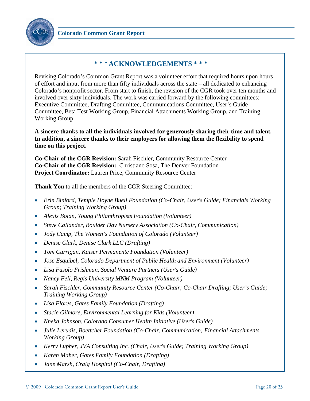

# <sup>¾</sup><sup>¾</sup><sup>¾</sup> **ACKNOWLEDGEMENTS** <sup>¾</sup><sup>¾</sup><sup>¾</sup>

Revising Colorado's Common Grant Report was a volunteer effort that required hours upon hours of effort and input from more than fifty individuals across the state – all dedicated to enhancing Colorado's nonprofit sector. From start to finish, the revision of the CGR took over ten months and involved over sixty individuals. The work was carried forward by the following committees: Executive Committee, Drafting Committee, Communications Committee, User's Guide Committee, Beta Test Working Group, Financial Attachments Working Group, and Training Working Group.

**A sincere thanks to all the individuals involved for generously sharing their time and talent. In addition, a sincere thanks to their employers for allowing them the flexibility to spend time on this project.** 

**Co-Chair of the CGR Revision:** Sarah Fischler, Community Resource Center **Co-Chair of the CGR Revision:** Christiano Sosa, The Denver Foundation **Project Coordinator:** Lauren Price, Community Resource Center

**Thank You** to all the members of the CGR Steering Committee:

- *Erin Binford, Temple Hoyne Buell Foundation (Co-Chair, User's Guide; Financials Working Group; Training Working Group)*
- *Alexis Boian, Young Philanthropists Foundation (Volunteer)*
- *Steve Callander, Boulder Day Nursery Association (Co-Chair, Communication)*
- *Jody Camp, The Women's Foundation of Colorado (Volunteer)*
- *Denise Clark, Denise Clark LLC (Drafting)*
- *Tom Currigan, Kaiser Permanente Foundation (Volunteer)*
- *Jose Esquibel, Colorado Department of Public Health and Environment (Volunteer)*
- *Lisa Fasolo Frishman, Social Venture Partners (User's Guide)*
- *Nancy Fell, Regis University MNM Program (Volunteer)*
- *Sarah Fischler, Community Resource Center (Co-Chair; Co-Chair Drafting; User's Guide; Training Working Group)*
- *Lisa Flores, Gates Family Foundation (Drafting)*
- *Stacie Gilmore, Environmental Learning for Kids (Volunteer)*
- *Nneka Johnson, Colorado Consumer Health Initiative (User's Guide)*
- *Julie Lerudis, Boettcher Foundation (Co-Chair, Communication; Financial Attachments Working Group)*
- *Kerry Lupher, JVA Consulting Inc. (Chair, User's Guide; Training Working Group)*
- *Karen Maher, Gates Family Foundation (Drafting)*
- *Jane Marsh, Craig Hospital (Co-Chair, Drafting)*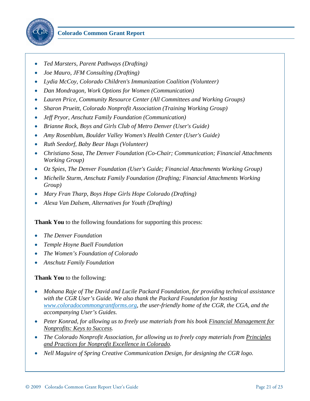

- *Ted Marsters, Parent Pathways (Drafting)*
- *Joe Mauro, JFM Consulting (Drafting)*
- *Lydia McCoy, Colorado Children's Immunization Coalition (Volunteer)*
- *Dan Mondragon, Work Options for Women (Communication)*
- *Lauren Price, Community Resource Center (All Committees and Working Groups)*
- *Sharon Prueitt, Colorado Nonprofit Association (Training Working Group)*
- *Jeff Pryor, Anschutz Family Foundation (Communication)*
- *Brianne Rock, Boys and Girls Club of Metro Denver (User's Guide)*
- *Amy Rosenblum, Boulder Valley Women's Health Center (User's Guide)*
- *Ruth Seedorf, Baby Bear Hugs (Volunteer)*
- *Christiano Sosa, The Denver Foundation (Co-Chair; Communication; Financial Attachments Working Group)*
- *Oz Spies, The Denver Foundation (User's Guide; Financial Attachments Working Group)*
- *Michelle Sturm, Anschutz Family Foundation (Drafting; Financial Attachments Working Group)*
- *Mary Fran Tharp, Boys Hope Girls Hope Colorado (Drafting)*
- *Alexa Van Dalsem, Alternatives for Youth (Drafting)*

**Thank You** to the following foundations for supporting this process:

- *The Denver Foundation*
- *Temple Hoyne Buell Foundation*
- *The Women's Foundation of Colorado*
- *Anschutz Family Foundation*

#### **Thank You** to the following:

- *Mohana Raje of The David and Lucile Packard Foundation, for providing technical assistance with the CGR User's Guide. We also thank the Packard Foundation for hosting www.coloradocommongrantforms.org, the user-friendly home of the CGR, the CGA, and the accompanying User's Guides.*
- *Peter Konrad, for allowing us to freely use materials from his book Financial Management for Nonprofits: Keys to Success.*
- *The Colorado Nonprofit Association, for allowing us to freely copy materials from Principles and Practices for Nonprofit Excellence in Colorado.*
- *Nell Maguire of Spring Creative Communication Design, for designing the CGR logo.*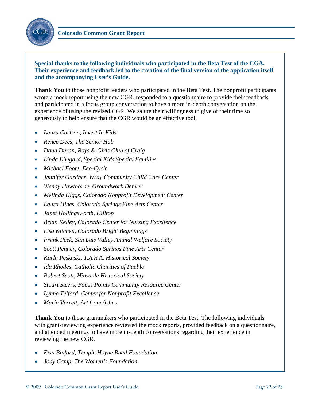

# **Special thanks to the following individuals who participated in the Beta Test of the CGA. Their experience and feedback led to the creation of the final version of the application itself and the accompanying User's Guide.**

**Thank You** to those nonprofit leaders who participated in the Beta Test. The nonprofit participants wrote a mock report using the new CGR, responded to a questionnaire to provide their feedback, and participated in a focus group conversation to have a more in-depth conversation on the experience of using the revised CGR. We salute their willingness to give of their time so generously to help ensure that the CGR would be an effective tool.

- *Laura Carlson, Invest In Kids*
- *Renee Dees, The Senior Hub*
- *Dana Duran, Boys & Girls Club of Craig*
- *Linda Ellegard, Special Kids Special Families*
- *Michael Foote, Eco-Cycle*
- *Jennifer Gardner, Wray Community Child Care Center*
- *Wendy Hawthorne, Groundwork Denver*
- *Melinda Higgs, Colorado Nonprofit Development Center*
- *Laura Hines, Colorado Springs Fine Arts Center*
- *Janet Hollingsworth, Hilltop*
- *Brian Kelley, Colorado Center for Nursing Excellence*
- *Lisa Kitchen, Colorado Bright Beginnings*
- *Frank Peek, San Luis Valley Animal Welfare Society*
- *Scott Penner, Colorado Springs Fine Arts Center*
- *Karla Peskuski, T.A.R.A. Historical Society*
- *Ida Rhodes, Catholic Charities of Pueblo*
- *Robert Scott, Hinsdale Historical Society*
- *Stuart Steers, Focus Points Community Resource Center*
- *Lynne Telford, Center for Nonprofit Excellence*
- *Marie Verrett, Art from Ashes*

**Thank You** to those grantmakers who participated in the Beta Test. The following individuals with grant-reviewing experience reviewed the mock reports, provided feedback on a questionnaire, and attended meetings to have more in-depth conversations regarding their experience in reviewing the new CGR.

- *Erin Binford, Temple Hoyne Buell Foundation*
- *Jody Camp, The Women's Foundation*